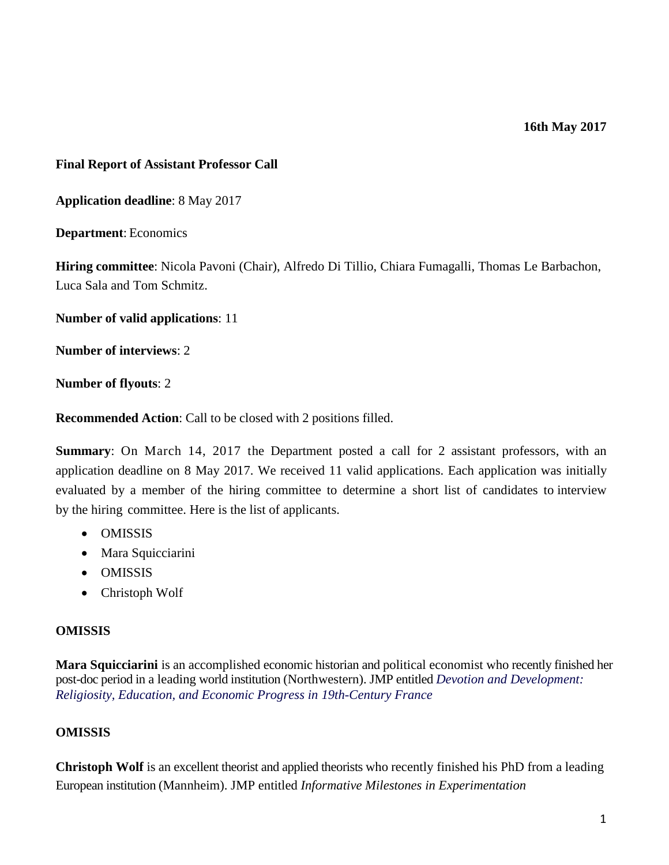**16th May 2017**

### **Final Report of Assistant Professor Call**

**Application deadline**: 8 May 2017

**Department**: Economics

**Hiring committee**: Nicola Pavoni (Chair), Alfredo Di Tillio, Chiara Fumagalli, Thomas Le Barbachon, Luca Sala and Tom Schmitz.

**Number of valid applications**: 11

**Number of interviews**: 2

**Number of flyouts**: 2

**Recommended Action**: Call to be closed with 2 positions filled.

**Summary**: On March 14, 2017 the Department posted a call for 2 assistant professors, with an application deadline on 8 May 2017. We received 11 valid applications. Each application was initially evaluated by a member of the hiring committee to determine a short list of candidates to interview by the hiring committee. Here is the list of applicants.

- OMISSIS
- Mara Squicciarini
- OMISSIS
- Christoph Wolf

#### **OMISSIS**

**Mara Squicciarini** is an accomplished economic historian and political economist who recently finished her post-doc period in a leading world institution (Northwestern). JMP entitled *Devotion and Development: Religiosity, Education, and Economic Progress in 19th-Century France*

#### **OMISSIS**

**Christoph Wolf** is an excellent theorist and applied theorists who recently finished his PhD from a leading European institution (Mannheim). JMP entitled *Informative Milestones in Experimentation*